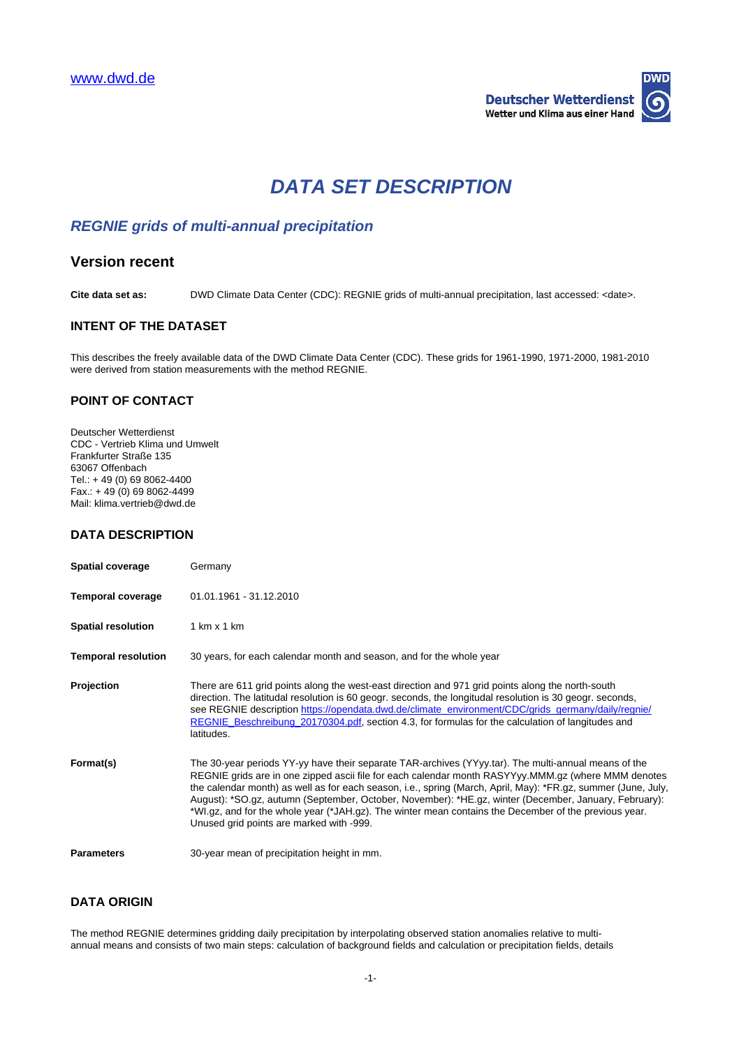

# **DATA SET DESCRIPTION**

# **REGNIE grids of multi-annual precipitation**

## **Version recent**

**Cite data set as:** DWD Climate Data Center (CDC): REGNIE grids of multi-annual precipitation, last accessed: <date>.

## **INTENT OF THE DATASET**

This describes the freely available data of the DWD Climate Data Center (CDC). These grids for 1961-1990, 1971-2000, 1981-2010 were derived from station measurements with the method REGNIE.

## **POINT OF CONTACT**

Deutscher Wetterdienst CDC - Vertrieb Klima und Umwelt Frankfurter Straße 135 63067 Offenbach Tel.: + 49 (0) 69 8062-4400 Fax.: + 49 (0) 69 8062-4499 Mail: klima.vertrieb@dwd.de

## **DATA DESCRIPTION**

| <b>Spatial coverage</b>    | Germany                                                                                                                                                                                                                                                                                                                                                                                                                                                                                                                                                                                    |
|----------------------------|--------------------------------------------------------------------------------------------------------------------------------------------------------------------------------------------------------------------------------------------------------------------------------------------------------------------------------------------------------------------------------------------------------------------------------------------------------------------------------------------------------------------------------------------------------------------------------------------|
| <b>Temporal coverage</b>   | 01.01.1961 - 31.12.2010                                                                                                                                                                                                                                                                                                                                                                                                                                                                                                                                                                    |
| <b>Spatial resolution</b>  | $1 \text{ km} \times 1 \text{ km}$                                                                                                                                                                                                                                                                                                                                                                                                                                                                                                                                                         |
| <b>Temporal resolution</b> | 30 years, for each calendar month and season, and for the whole year                                                                                                                                                                                                                                                                                                                                                                                                                                                                                                                       |
| Projection                 | There are 611 grid points along the west-east direction and 971 grid points along the north-south<br>direction. The latitudal resolution is 60 geogr. seconds, the longitudal resolution is 30 geogr. seconds,<br>see REGNIE description https://opendata.dwd.de/climate_environment/CDC/grids_germany/daily/regnie/<br>REGNIE Beschreibung 20170304.pdf, section 4.3, for formulas for the calculation of langitudes and<br>latitudes.                                                                                                                                                    |
| Format(s)                  | The 30-year periods YY-yy have their separate TAR-archives (YYyy.tar). The multi-annual means of the<br>REGNIE grids are in one zipped ascii file for each calendar month RASYYyy.MMM.gz (where MMM denotes<br>the calendar month) as well as for each season, i.e., spring (March, April, May): *FR.gz, summer (June, July,<br>August): *SO.gz, autumn (September, October, November): *HE.gz, winter (December, January, February):<br>*WI.gz, and for the whole year (*JAH.gz). The winter mean contains the December of the previous year.<br>Unused grid points are marked with -999. |
| <b>Parameters</b>          | 30-year mean of precipitation height in mm.                                                                                                                                                                                                                                                                                                                                                                                                                                                                                                                                                |

## **DATA ORIGIN**

The method REGNIE determines gridding daily precipitation by interpolating observed station anomalies relative to multiannual means and consists of two main steps: calculation of background fields and calculation or precipitation fields, details